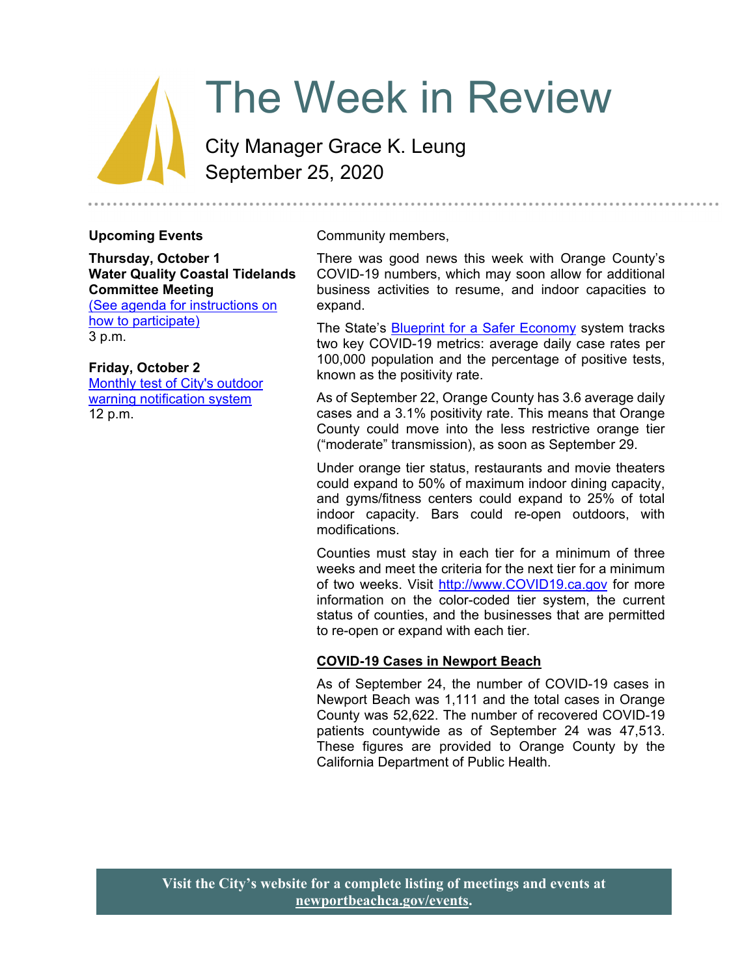# The Week in Review

City Manager Grace K. Leung September 25, 2020

#### **Upcoming Events**

**Thursday, October 1 Water Quality Coastal Tidelands Committee Meeting** 

(See agenda for instructions on how to participate) 3 p.m.

#### **Friday, October 2**

Monthly test of City's outdoor warning notification system 12 p.m.

Community members,

There was good news this week with Orange County's COVID-19 numbers, which may soon allow for additional business activities to resume, and indoor capacities to expand.

The State's **Blueprint for a Safer Economy system tracks** two key COVID-19 metrics: average daily case rates per 100,000 population and the percentage of positive tests, known as the positivity rate.

As of September 22, Orange County has 3.6 average daily cases and a 3.1% positivity rate. This means that Orange County could move into the less restrictive orange tier ("moderate" transmission), as soon as September 29.

Under orange tier status, restaurants and movie theaters could expand to 50% of maximum indoor dining capacity, and gyms/fitness centers could expand to 25% of total indoor capacity. Bars could re-open outdoors, with modifications.

Counties must stay in each tier for a minimum of three weeks and meet the criteria for the next tier for a minimum of two weeks. Visit http://www.COVID19.ca.gov for more information on the color-coded tier system, the current status of counties, and the businesses that are permitted to re-open or expand with each tier.

#### **COVID-19 Cases in Newport Beach**

As of September 24, the number of COVID-19 cases in Newport Beach was 1,111 and the total cases in Orange County was 52,622. The number of recovered COVID-19 patients countywide as of September 24 was 47,513. These figures are provided to Orange County by the California Department of Public Health.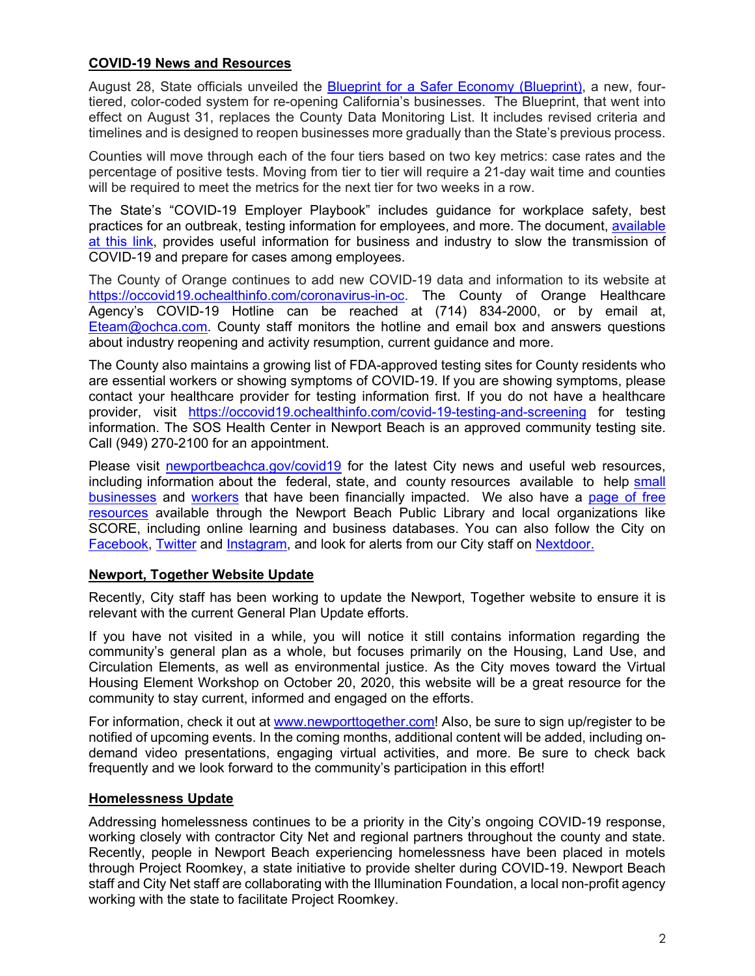# **COVID-19 News and Resources**

August 28, State officials unveiled the Blueprint for a Safer Economy (Blueprint), a new, fourtiered, color-coded system for re-opening California's businesses. The Blueprint, that went into effect on August 31, replaces the County Data Monitoring List. It includes revised criteria and timelines and is designed to reopen businesses more gradually than the State's previous process.

Counties will move through each of the four tiers based on two key metrics: case rates and the percentage of positive tests. Moving from tier to tier will require a 21-day wait time and counties will be required to meet the metrics for the next tier for two weeks in a row.

The State's "COVID-19 Employer Playbook" includes guidance for workplace safety, best practices for an outbreak, testing information for employees, and more. The document, available at this link, provides useful information for business and industry to slow the transmission of COVID-19 and prepare for cases among employees.

The County of Orange continues to add new COVID-19 data and information to its website at https://occovid19.ochealthinfo.com/coronavirus-in-oc. The County of Orange Healthcare Agency's COVID-19 Hotline can be reached at (714) 834-2000, or by email at, Eteam@ochca.com. County staff monitors the hotline and email box and answers questions about industry reopening and activity resumption, current guidance and more.

The County also maintains a growing list of FDA-approved testing sites for County residents who are essential workers or showing symptoms of COVID-19. If you are showing symptoms, please contact your healthcare provider for testing information first. If you do not have a healthcare provider, visit https://occovid19.ochealthinfo.com/covid-19-testing-and-screening for testing information. The SOS Health Center in Newport Beach is an approved community testing site. Call (949) 270-2100 for an appointment.

Please visit newportbeachca.gov/covid19 for the latest City news and useful web resources, including information about the federal, state, and county resources available to help small businesses and workers that have been financially impacted. We also have a page of free resources available through the Newport Beach Public Library and local organizations like SCORE, including online learning and business databases. You can also follow the City on Facebook, Twitter and Instagram, and look for alerts from our City staff on Nextdoor.

## **Newport, Together Website Update**

Recently, City staff has been working to update the Newport, Together website to ensure it is relevant with the current General Plan Update efforts.

If you have not visited in a while, you will notice it still contains information regarding the community's general plan as a whole, but focuses primarily on the Housing, Land Use, and Circulation Elements, as well as environmental justice. As the City moves toward the Virtual Housing Element Workshop on October 20, 2020, this website will be a great resource for the community to stay current, informed and engaged on the efforts.

For information, check it out at www.newporttogether.com! Also, be sure to sign up/register to be notified of upcoming events. In the coming months, additional content will be added, including ondemand video presentations, engaging virtual activities, and more. Be sure to check back frequently and we look forward to the community's participation in this effort!

## **Homelessness Update**

Addressing homelessness continues to be a priority in the City's ongoing COVID-19 response, working closely with contractor City Net and regional partners throughout the county and state. Recently, people in Newport Beach experiencing homelessness have been placed in motels through Project Roomkey, a state initiative to provide shelter during COVID-19. Newport Beach staff and City Net staff are collaborating with the Illumination Foundation, a local non-profit agency working with the state to facilitate Project Roomkey.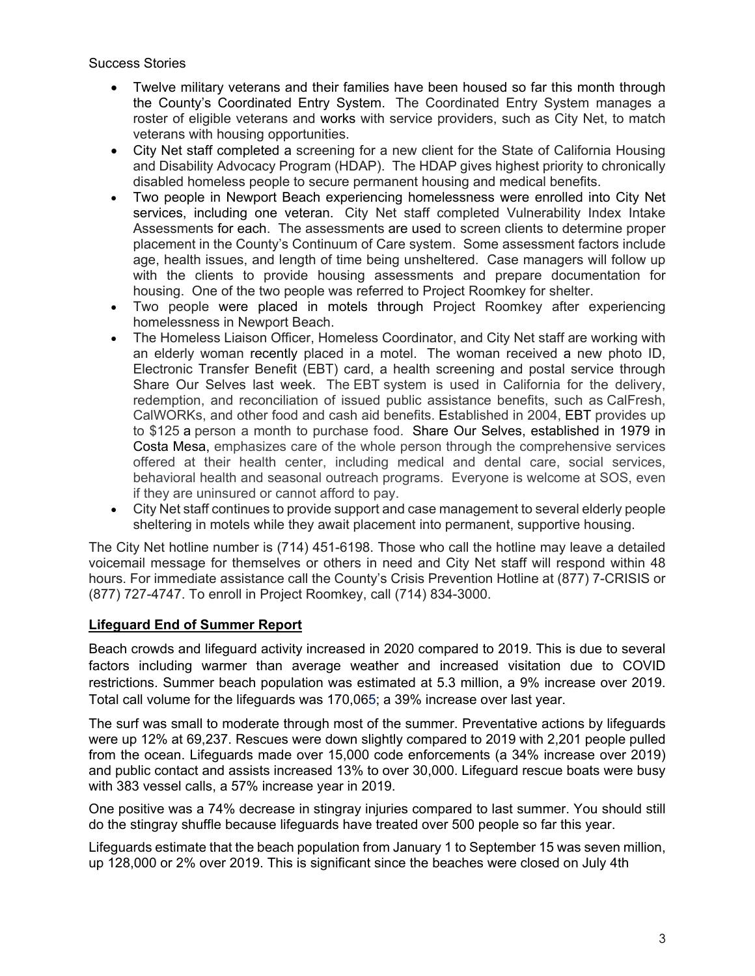## Success Stories

- Twelve military veterans and their families have been housed so far this month through the County's Coordinated Entry System. The Coordinated Entry System manages a roster of eligible veterans and works with service providers, such as City Net, to match veterans with housing opportunities.
- City Net staff completed a screening for a new client for the State of California Housing and Disability Advocacy Program (HDAP). The HDAP gives highest priority to chronically disabled homeless people to secure permanent housing and medical benefits.
- Two people in Newport Beach experiencing homelessness were enrolled into City Net services, including one veteran. City Net staff completed Vulnerability Index Intake Assessments for each. The assessments are used to screen clients to determine proper placement in the County's Continuum of Care system. Some assessment factors include age, health issues, and length of time being unsheltered. Case managers will follow up with the clients to provide housing assessments and prepare documentation for housing. One of the two people was referred to Project Roomkey for shelter.
- Two people were placed in motels through Project Roomkey after experiencing homelessness in Newport Beach.
- The Homeless Liaison Officer, Homeless Coordinator, and City Net staff are working with an elderly woman recently placed in a motel. The woman received a new photo ID, Electronic Transfer Benefit (EBT) card, a health screening and postal service through Share Our Selves last week. The EBT system is used in California for the delivery, redemption, and reconciliation of issued public assistance benefits, such as CalFresh, CalWORKs, and other food and cash aid benefits. Established in 2004, EBT provides up to \$125 a person a month to purchase food. Share Our Selves, established in 1979 in Costa Mesa, emphasizes care of the whole person through the comprehensive services offered at their health center, including medical and dental care, social services, behavioral health and seasonal outreach programs. Everyone is welcome at SOS, even if they are uninsured or cannot afford to pay.
- City Net staff continues to provide support and case management to several elderly people sheltering in motels while they await placement into permanent, supportive housing.

The City Net hotline number is (714) 451-6198. Those who call the hotline may leave a detailed voicemail message for themselves or others in need and City Net staff will respond within 48 hours. For immediate assistance call the County's Crisis Prevention Hotline at (877) 7-CRISIS or (877) 727-4747. To enroll in Project Roomkey, call (714) 834-3000.

# **Lifeguard End of Summer Report**

Beach crowds and lifeguard activity increased in 2020 compared to 2019. This is due to several factors including warmer than average weather and increased visitation due to COVID restrictions. Summer beach population was estimated at 5.3 million, a 9% increase over 2019. Total call volume for the lifeguards was 170,065; a 39% increase over last year.

The surf was small to moderate through most of the summer. Preventative actions by lifeguards were up 12% at 69,237. Rescues were down slightly compared to 2019 with 2,201 people pulled from the ocean. Lifeguards made over 15,000 code enforcements (a 34% increase over 2019) and public contact and assists increased 13% to over 30,000. Lifeguard rescue boats were busy with 383 vessel calls, a 57% increase year in 2019.

One positive was a 74% decrease in stingray injuries compared to last summer. You should still do the stingray shuffle because lifeguards have treated over 500 people so far this year.

Lifeguards estimate that the beach population from January 1 to September 15 was seven million, up 128,000 or 2% over 2019. This is significant since the beaches were closed on July 4th